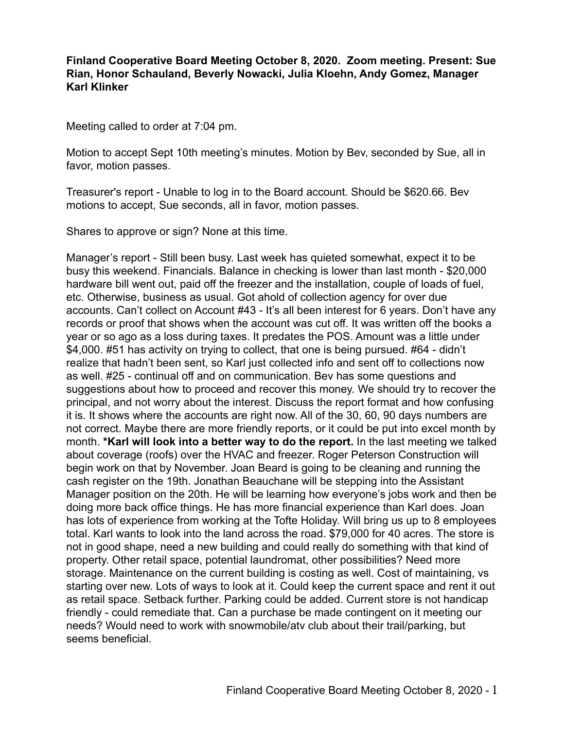## **Finland Cooperative Board Meeting October 8, 2020. Zoom meeting. Present: Sue Rian, Honor Schauland, Beverly Nowacki, Julia Kloehn, Andy Gomez, Manager Karl Klinker**

Meeting called to order at 7:04 pm.

Motion to accept Sept 10th meeting's minutes. Motion by Bev, seconded by Sue, all in favor, motion passes.

Treasurer's report - Unable to log in to the Board account. Should be \$620.66. Bev motions to accept, Sue seconds, all in favor, motion passes.

Shares to approve or sign? None at this time.

Manager's report - Still been busy. Last week has quieted somewhat, expect it to be busy this weekend. Financials. Balance in checking is lower than last month - \$20,000 hardware bill went out, paid off the freezer and the installation, couple of loads of fuel, etc. Otherwise, business as usual. Got ahold of collection agency for over due accounts. Can't collect on Account #43 - It's all been interest for 6 years. Don't have any records or proof that shows when the account was cut off. It was written off the books a year or so ago as a loss during taxes. It predates the POS. Amount was a little under \$4,000. #51 has activity on trying to collect, that one is being pursued. #64 - didn't realize that hadn't been sent, so Karl just collected info and sent off to collections now as well. #25 - continual off and on communication. Bev has some questions and suggestions about how to proceed and recover this money. We should try to recover the principal, and not worry about the interest. Discuss the report format and how confusing it is. It shows where the accounts are right now. All of the 30, 60, 90 days numbers are not correct. Maybe there are more friendly reports, or it could be put into excel month by month. **\*Karl will look into a better way to do the report.** In the last meeting we talked about coverage (roofs) over the HVAC and freezer. Roger Peterson Construction will begin work on that by November. Joan Beard is going to be cleaning and running the cash register on the 19th. Jonathan Beauchane will be stepping into the Assistant Manager position on the 20th. He will be learning how everyone's jobs work and then be doing more back office things. He has more financial experience than Karl does. Joan has lots of experience from working at the Tofte Holiday. Will bring us up to 8 employees total. Karl wants to look into the land across the road. \$79,000 for 40 acres. The store is not in good shape, need a new building and could really do something with that kind of property. Other retail space, potential laundromat, other possibilities? Need more storage. Maintenance on the current building is costing as well. Cost of maintaining, vs starting over new. Lots of ways to look at it. Could keep the current space and rent it out as retail space. Setback further. Parking could be added. Current store is not handicap friendly - could remediate that. Can a purchase be made contingent on it meeting our needs? Would need to work with snowmobile/atv club about their trail/parking, but seems beneficial.